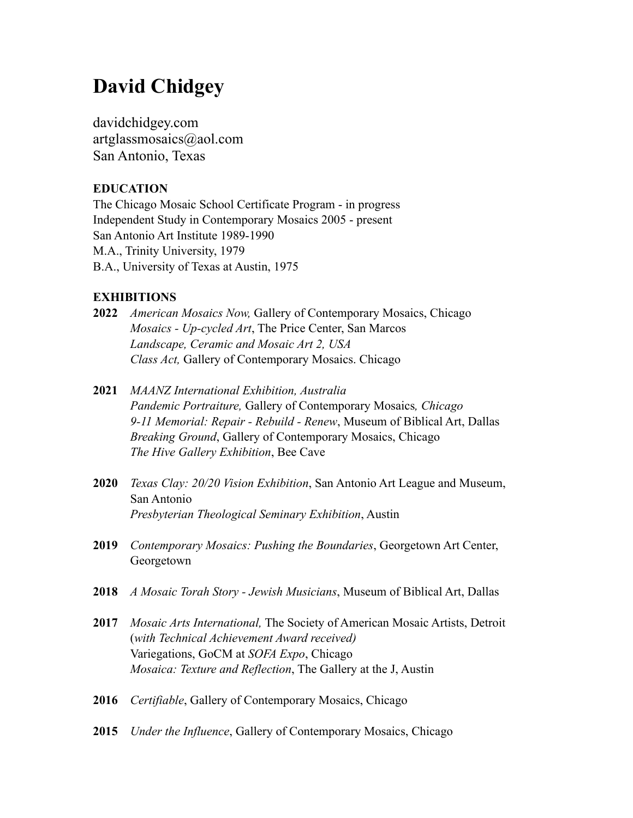# **David Chidgey**

[davidchidgey.com](http://artglassmosaics.com) artglassmosaics@aol.com San Antonio, Texas

# **EDUCATION**

The Chicago Mosaic School Certificate Program - in progress Independent Study in Contemporary Mosaics 2005 - present San Antonio Art Institute 1989-1990 M.A., Trinity University, 1979 B.A., University of Texas at Austin, 1975

## **EXHIBITIONS**

- **2022** *American Mosaics Now,* Gallery of Contemporary Mosaics, Chicago *Mosaics - Up-cycled Art*, The Price Center, San Marcos *Landscape, Ceramic and Mosaic Art 2, USA Class Act,* Gallery of Contemporary Mosaics. Chicago
- **2021** *MAANZ International Exhibition, Australia Pandemic Portraiture,* Gallery of Contemporary Mosaics*, Chicago 9-11 Memorial: Repair - Rebuild - Renew*, Museum of Biblical Art, Dallas *Breaking Ground*, Gallery of Contemporary Mosaics, Chicago *The Hive Gallery Exhibition*, Bee Cave
- **2020** *Texas Clay: 20/20 Vision Exhibition*, San Antonio Art League and Museum, San Antonio *Presbyterian Theological Seminary Exhibition*, Austin
- **2019** *Contemporary Mosaics: Pushing the Boundaries*, Georgetown Art Center, Georgetown
- **2018** *A Mosaic Torah Story Jewish Musicians*, Museum of Biblical Art, Dallas
- **2017** *Mosaic Arts International,* The Society of American Mosaic Artists, Detroit (*with Technical Achievement Award received)* Variegations, GoCM at *SOFA Expo*, Chicago *Mosaica: Texture and Reflection*, The Gallery at the J, Austin
- **2016** *Certifiable*, Gallery of Contemporary Mosaics, Chicago
- **2015** *Under the Influence*, Gallery of Contemporary Mosaics, Chicago